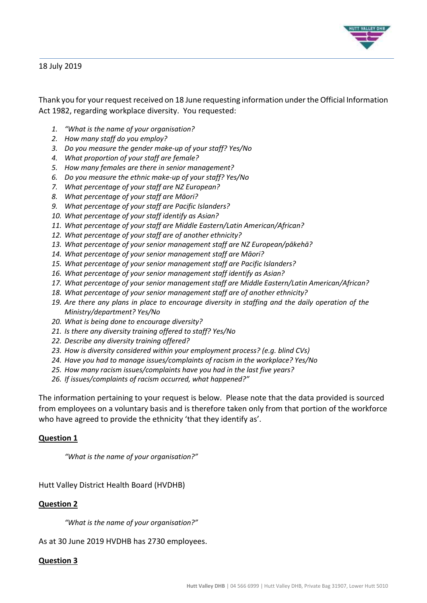

18 July 2019

Thank you for your request received on 18 June requesting information under the Official Information Act 1982, regarding workplace diversity. You requested:

- *1. "What is the name of your organisation?*
- *2. How many staff do you employ?*
- *3. Do you measure the gender make-up of your staff? Yes/No*
- *4. What proportion of your staff are female?*
- *5. How many females are there in senior management?*
- *6. Do you measure the ethnic make-up of your staff? Yes/No*
- *7. What percentage of your staff are NZ European?*
- *8. What percentage of your staff are Māori?*
- *9. What percentage of your staff are Pacific Islanders?*
- *10. What percentage of your staff identify as Asian?*
- *11. What percentage of your staff are Middle Eastern/Latin American/African?*
- *12. What percentage of your staff are of another ethnicity?*
- *13. What percentage of your senior management staff are NZ European/pākehā?*
- *14. What percentage of your senior management staff are Māori?*
- *15. What percentage of your senior management staff are Pacific Islanders?*
- *16. What percentage of your senior management staff identify as Asian?*
- *17. What percentage of your senior management staff are Middle Eastern/Latin American/African?*
- *18. What percentage of your senior management staff are of another ethnicity?*
- *19. Are there any plans in place to encourage diversity in staffing and the daily operation of the Ministry/department? Yes/No*
- *20. What is being done to encourage diversity?*
- *21. Is there any diversity training offered to staff? Yes/No*
- *22. Describe any diversity training offered?*
- *23. How is diversity considered within your employment process? (e.g. blind CVs)*
- *24. Have you had to manage issues/complaints of racism in the workplace? Yes/No*
- *25. How many racism issues/complaints have you had in the last five years?*
- *26. If issues/complaints of racism occurred, what happened?"*

The information pertaining to your request is below. Please note that the data provided is sourced from employees on a voluntary basis and is therefore taken only from that portion of the workforce who have agreed to provide the ethnicity 'that they identify as'.

## **Question 1**

*"What is the name of your organisation?"*

Hutt Valley District Health Board (HVDHB)

## **Question 2**

*"What is the name of your organisation?"*

As at 30 June 2019 HVDHB has 2730 employees.

### **Question 3**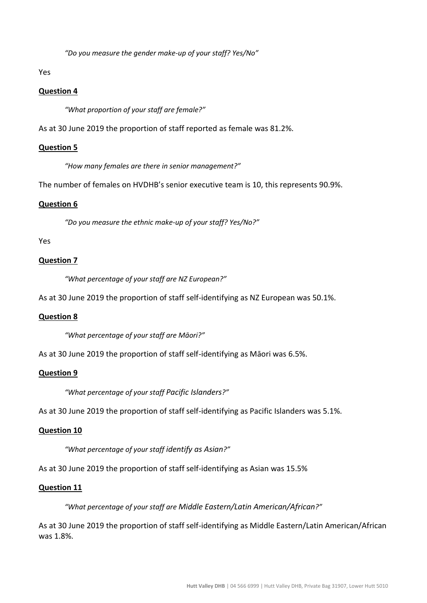*"Do you measure the gender make-up of your staff? Yes/No"*

Yes

## **Question 4**

*"What proportion of your staff are female?"*

As at 30 June 2019 the proportion of staff reported as female was 81.2%.

### **Question 5**

*"How many females are there in senior management?"*

The number of females on HVDHB's senior executive team is 10, this represents 90.9%.

### **Question 6**

*"Do you measure the ethnic make-up of your staff? Yes/No?"*

### Yes

## **Question 7**

*"What percentage of your staff are NZ European?"*

As at 30 June 2019 the proportion of staff self-identifying as NZ European was 50.1%.

### **Question 8**

*"What percentage of your staff are Māori?"*

As at 30 June 2019 the proportion of staff self-identifying as Māori was 6.5%.

### **Question 9**

*"What percentage of your staff Pacific Islanders?"*

As at 30 June 2019 the proportion of staff self-identifying as Pacific Islanders was 5.1%.

### **Question 10**

*"What percentage of your staff identify as Asian?"*

As at 30 June 2019 the proportion of staff self-identifying as Asian was 15.5%

### **Question 11**

*"What percentage of your staff are Middle Eastern/Latin American/African?"*

As at 30 June 2019 the proportion of staff self-identifying as Middle Eastern/Latin American/African was 1.8%.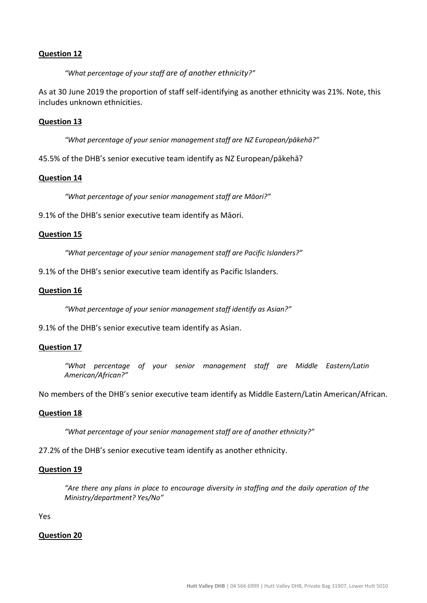## **Question 12**

*"What percentage of your staff are of another ethnicity?"*

As at 30 June 2019 the proportion of staff self-identifying as another ethnicity was 21%. Note, this includes unknown ethnicities.

### **Question 13**

*"What percentage of your senior management staff are NZ European/pākehā?"*

45.5% of the DHB's senior executive team identify as NZ European/pākehā?

### **Question 14**

*"What percentage of your senior management staff are Māori?"*

9.1% of the DHB's senior executive team identify as Māori.

#### **Question 15**

*"What percentage of your senior management staff are Pacific Islanders?"*

9.1% of the DHB's senior executive team identify as Pacific Islanders.

#### **Question 16**

*"What percentage of your senior management staff identify as Asian?"*

9.1% of the DHB's senior executive team identify as Asian.

#### **Question 17**

*"What percentage of your senior management staff are Middle Eastern/Latin American/African?"*

No members of the DHB's senior executive team identify as Middle Eastern/Latin American/African.

#### **Question 18**

*"What percentage of your senior management staff are of another ethnicity?"*

27.2% of the DHB's senior executive team identify as another ethnicity.

#### **Question 19**

*"Are there any plans in place to encourage diversity in staffing and the daily operation of the Ministry/department? Yes/No"*

Yes

#### **Question 20**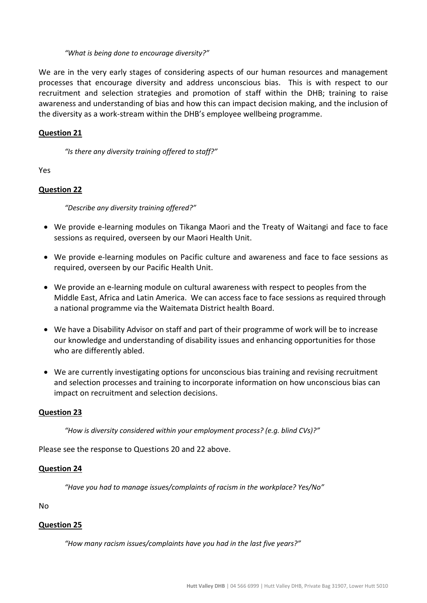### *"What is being done to encourage diversity?"*

We are in the very early stages of considering aspects of our human resources and management processes that encourage diversity and address unconscious bias. This is with respect to our recruitment and selection strategies and promotion of staff within the DHB; training to raise awareness and understanding of bias and how this can impact decision making, and the inclusion of the diversity as a work-stream within the DHB's employee wellbeing programme.

## **Question 21**

*"Is there any diversity training offered to staff?"*

Yes

## **Question 22**

*"Describe any diversity training offered?"*

- We provide e-learning modules on Tikanga Maori and the Treaty of Waitangi and face to face sessions as required, overseen by our Maori Health Unit.
- We provide e-learning modules on Pacific culture and awareness and face to face sessions as required, overseen by our Pacific Health Unit.
- We provide an e-learning module on cultural awareness with respect to peoples from the Middle East, Africa and Latin America. We can access face to face sessions as required through a national programme via the Waitemata District health Board.
- We have a Disability Advisor on staff and part of their programme of work will be to increase our knowledge and understanding of disability issues and enhancing opportunities for those who are differently abled.
- We are currently investigating options for unconscious bias training and revising recruitment and selection processes and training to incorporate information on how unconscious bias can impact on recruitment and selection decisions.

## **Question 23**

*"How is diversity considered within your employment process? (e.g. blind CVs)?"*

Please see the response to Questions 20 and 22 above.

### **Question 24**

*"Have you had to manage issues/complaints of racism in the workplace? Yes/No"*

No

## **Question 25**

*"How many racism issues/complaints have you had in the last five years?"*